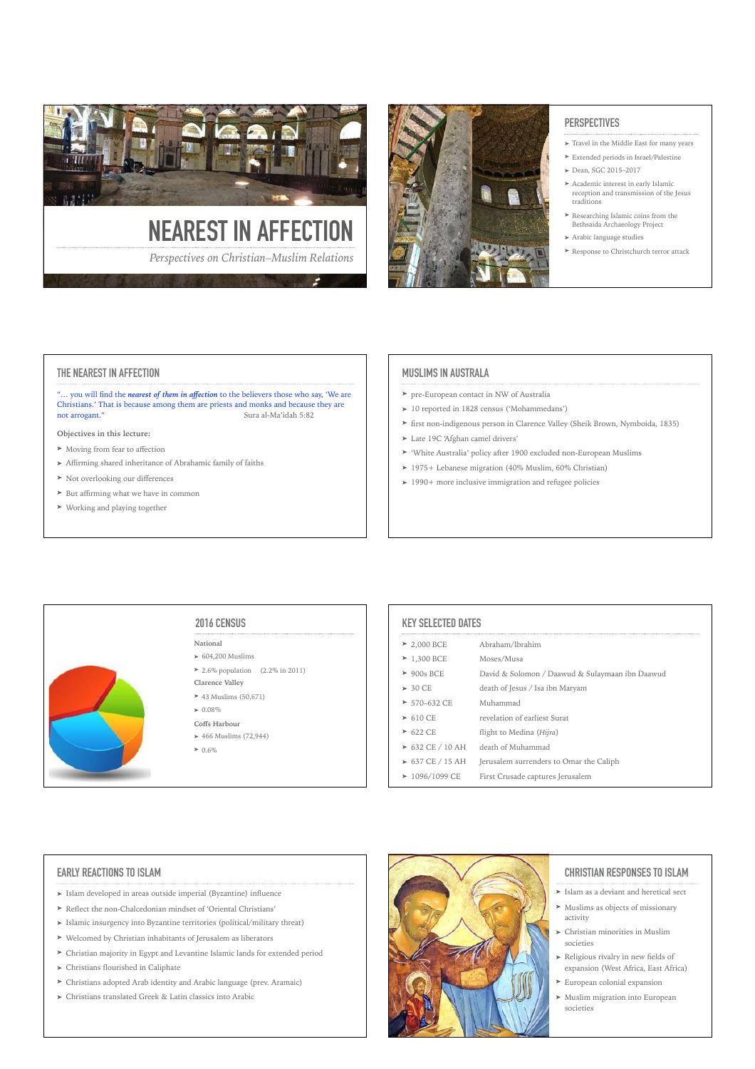



# **PERSPECTIVES**

- ➤ Travel in the Middle East for many years
- ➤ Extended periods in Israel/Palestine
- ➤ Dean, SGC 2015–2017
- ➤ Academic interest in early Islamic reception and transmission of the Jesus traditions
- ➤ Researching Islamic coins from the Bethsaida Archaeology Project
- ➤ Arabic language studies
- ➤ Response to Christchurch terror attack

### **THE NEAREST IN AFFECTION**

"… you will find the *nearest of them in affection* to the believers those who say, 'We are Christians.' That is because among them are priests and monks and because they are not arrogant." Sura al-Ma'idah 5:82

### **Objectives in this lecture:**

- ➤ Moving from fear to affection
- ➤ Affirming shared inheritance of Abrahamic family of faiths
- ➤ Not overlooking our differences
- ➤ But affirming what we have in common
- ➤ Working and playing together

### **MUSLIMS IN AUSTRALA**

- ➤ pre-European contact in NW of Australia
- ➤ 10 reported in 1828 census ('Mohammedans')
- ➤ first non-indigenous person in Clarence Valley (Sheik Brown, Nymboida, 1835)
- ➤ Late 19C 'Afghan camel drivers'
- ➤ 'White Australia' policy after 1900 excluded non-European Muslims
- ➤ 1975+ Lebanese migration (40% Muslim, 60% Christian)
- ➤ 1990+ more inclusive immigration and refugee policies

# **2016 CENSUS**

- **National**
- $\blacktriangleright$  604,200 Muslims
- ▶ 2.6% population  $(2.2\% \text{ in } 2011)$
- **Clarence Valley**
- $\geq$  43 Muslims (50.671)  $\geq 0.08\%$
- **Coffs Harbour**

### $\blacktriangleright$  466 Muslims (72,944)

- $\geq 0.6\%$
- 

### **KEY SELECTED DATES**

| $\geq$ 2.000 BCE      | Abraham/Ibrahim                                 |
|-----------------------|-------------------------------------------------|
| $\geq 1,300$ BCE      | Moses/Musa                                      |
| $\geq 900s$ BCE       | David & Solomon / Daawud & Sulaymaan ibn Daawud |
| $> 30 \text{ CE}$     | death of Jesus / Isa ibn Maryam                 |
| $> 570-632$ CE        | Muhammad                                        |
| $\geq 610$ CE         | revelation of earliest Surat                    |
| $\geq 622$ CE         | flight to Medina (Hijra)                        |
| $\geq 632$ CE / 10 AH | death of Muhammad                               |
| $\geq 637$ CE / 15 AH | Jerusalem surrenders to Omar the Caliph         |
| $\geq 1096/1099$ CE   | First Crusade captures Jerusalem                |

### **EARLY REACTIONS TO ISLAM**

- ➤ Islam developed in areas outside imperial (Byzantine) influence
- ➤ Reflect the non-Chalcedonian mindset of 'Oriental Christians'
- ➤ Islamic insurgency into Byzantine territories (political/military threat)
- ➤ Welcomed by Christian inhabitants of Jerusalem as liberators
- ➤ Christian majority in Egypt and Levantine Islamic lands for extended period
- ➤ Christians flourished in Caliphate
- ➤ Christians adopted Arab identity and Arabic language (prev. Aramaic)
- ➤ Christians translated Greek & Latin classics into Arabic



### **CHRISTIAN RESPONSES TO ISLAM**

- ➤ Islam as a deviant and heretical sect
- ➤ Muslims as objects of missionary

activity

- ➤ Christian minorities in Muslim societies
- ➤ Religious rivalry in new fields of expansion (West Africa, East Africa)
- ➤ European colonial expansion
- ➤ Muslim migration into European societies